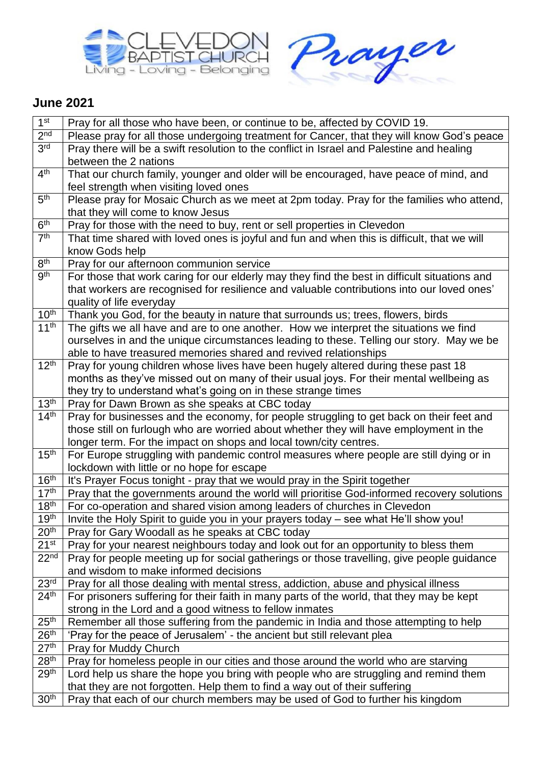



## **June 2021**

| 1 <sup>st</sup>                      | Pray for all those who have been, or continue to be, affected by COVID 19.                                                                      |
|--------------------------------------|-------------------------------------------------------------------------------------------------------------------------------------------------|
| 2 <sub>nd</sub>                      | Please pray for all those undergoing treatment for Cancer, that they will know God's peace                                                      |
| 3 <sup>rd</sup>                      | Pray there will be a swift resolution to the conflict in Israel and Palestine and healing                                                       |
|                                      | between the 2 nations                                                                                                                           |
| 4 <sup>th</sup>                      | That our church family, younger and older will be encouraged, have peace of mind, and                                                           |
|                                      | feel strength when visiting loved ones                                                                                                          |
| 5 <sup>th</sup>                      | Please pray for Mosaic Church as we meet at 2pm today. Pray for the families who attend,                                                        |
|                                      | that they will come to know Jesus                                                                                                               |
| 6 <sup>th</sup>                      | Pray for those with the need to buy, rent or sell properties in Clevedon                                                                        |
| 7 <sup>th</sup>                      | That time shared with loved ones is joyful and fun and when this is difficult, that we will                                                     |
|                                      | know Gods help                                                                                                                                  |
| 8 <sup>th</sup>                      | Pray for our afternoon communion service                                                                                                        |
| gth                                  | For those that work caring for our elderly may they find the best in difficult situations and                                                   |
|                                      | that workers are recognised for resilience and valuable contributions into our loved ones'                                                      |
|                                      | quality of life everyday                                                                                                                        |
| $10^{\text{th}}$                     | Thank you God, for the beauty in nature that surrounds us; trees, flowers, birds                                                                |
| 11 <sup>th</sup>                     | The gifts we all have and are to one another. How we interpret the situations we find                                                           |
|                                      | ourselves in and the unique circumstances leading to these. Telling our story. May we be                                                        |
|                                      | able to have treasured memories shared and revived relationships                                                                                |
| 12 <sup>th</sup>                     | Pray for young children whose lives have been hugely altered during these past 18                                                               |
|                                      | months as they've missed out on many of their usual joys. For their mental wellbeing as                                                         |
|                                      | they try to understand what's going on in these strange times                                                                                   |
| 13 <sup>th</sup>                     | Pray for Dawn Brown as she speaks at CBC today                                                                                                  |
| 14 <sup>th</sup>                     | Pray for businesses and the economy, for people struggling to get back on their feet and                                                        |
|                                      | those still on furlough who are worried about whether they will have employment in the                                                          |
|                                      | longer term. For the impact on shops and local town/city centres.                                                                               |
| 15 <sup>th</sup>                     | For Europe struggling with pandemic control measures where people are still dying or in                                                         |
|                                      | lockdown with little or no hope for escape                                                                                                      |
| 16 <sup>th</sup>                     | It's Prayer Focus tonight - pray that we would pray in the Spirit together                                                                      |
| 17 <sup>th</sup>                     | Pray that the governments around the world will prioritise God-informed recovery solutions                                                      |
| 18 <sup>th</sup>                     | For co-operation and shared vision among leaders of churches in Clevedon                                                                        |
| 19 <sup>th</sup>                     | Invite the Holy Spirit to guide you in your prayers today - see what He'll show you!                                                            |
| 20 <sup>th</sup>                     | Pray for Gary Woodall as he speaks at CBC today                                                                                                 |
| 21 <sup>st</sup>                     | Pray for your nearest neighbours today and look out for an opportunity to bless them                                                            |
| 22 <sup>nd</sup>                     | Pray for people meeting up for social gatherings or those travelling, give people guidance                                                      |
|                                      | and wisdom to make informed decisions                                                                                                           |
| 23 <sup>rd</sup><br>24 <sup>th</sup> | Pray for all those dealing with mental stress, addiction, abuse and physical illness                                                            |
|                                      | For prisoners suffering for their faith in many parts of the world, that they may be kept                                                       |
| 25 <sup>th</sup>                     | strong in the Lord and a good witness to fellow inmates<br>Remember all those suffering from the pandemic in India and those attempting to help |
| 26 <sup>th</sup>                     | 'Pray for the peace of Jerusalem' - the ancient but still relevant plea                                                                         |
| 27 <sup>th</sup>                     | Pray for Muddy Church                                                                                                                           |
|                                      |                                                                                                                                                 |
| 28 <sup>th</sup><br>29 <sup>th</sup> | Pray for homeless people in our cities and those around the world who are starving                                                              |
|                                      | Lord help us share the hope you bring with people who are struggling and remind them                                                            |
|                                      | that they are not forgotten. Help them to find a way out of their suffering                                                                     |
| 30 <sup>th</sup>                     | Pray that each of our church members may be used of God to further his kingdom                                                                  |